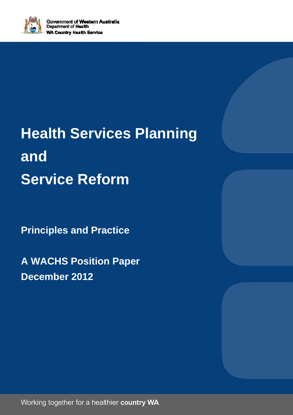

# **Health Services Planning and Service Reform**

**Principles and Practice** 

**A WACHS Position Paper December 2012** 

Working together for a healthier country WA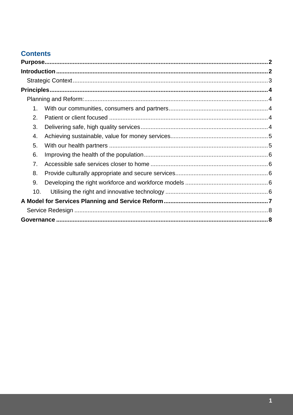### **Contents**

| 1.  |  |  |
|-----|--|--|
| 2.  |  |  |
| 3.  |  |  |
| 4.  |  |  |
| 5.  |  |  |
| 6.  |  |  |
| 7.  |  |  |
| 8.  |  |  |
| 9.  |  |  |
| 10. |  |  |
|     |  |  |
|     |  |  |
|     |  |  |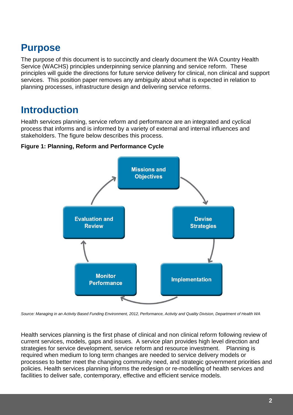### **Purpose**

The purpose of this document is to succinctly and clearly document the WA Country Health Service (WACHS) principles underpinning service planning and service reform. These principles will guide the directions for future service delivery for clinical, non clinical and support services. This position paper removes any ambiguity about what is expected in relation to planning processes, infrastructure design and delivering service reforms.

### **Introduction**

Health services planning, service reform and performance are an integrated and cyclical process that informs and is informed by a variety of external and internal influences and stakeholders. The figure below describes this process.





Source: Managing in an Activity Based Funding Environment, 2012, Performance, Activity and Quality Division, Department of Health WA

Health services planning is the first phase of clinical and non clinical reform following review of current services, models, gaps and issues. A service plan provides high level direction and strategies for service development, service reform and resource investment. Planning is required when medium to long term changes are needed to service delivery models or processes to better meet the changing community need, and strategic government priorities and policies. Health services planning informs the redesign or re-modelling of health services and facilities to deliver safe, contemporary, effective and efficient service models.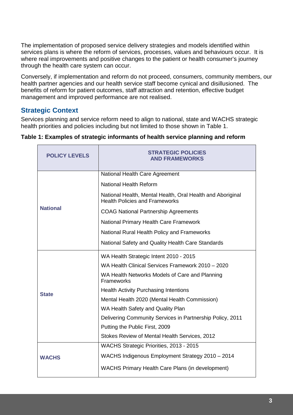The implementation of proposed service delivery strategies and models identified within services plans is where the reform of services, processes, values and behaviours occur. It is where real improvements and positive changes to the patient or health consumer's journey through the health care system can occur.

Conversely, if implementation and reform do not proceed, consumers, community members, our health partner agencies and our health service staff become cynical and disillusioned. The benefits of reform for patient outcomes, staff attraction and retention, effective budget management and improved performance are not realised.

#### **Strategic Context**

Services planning and service reform need to align to national, state and WACHS strategic health priorities and policies including but not limited to those shown in Table 1.

| <b>POLICY LEVELS</b> | <b>STRATEGIC POLICIES</b><br><b>AND FRAMEWORKS</b>                                                  |
|----------------------|-----------------------------------------------------------------------------------------------------|
|                      | National Health Care Agreement                                                                      |
|                      | <b>National Health Reform</b>                                                                       |
|                      | National Health, Mental Health, Oral Health and Aboriginal<br><b>Health Policies and Frameworks</b> |
| <b>National</b>      | <b>COAG National Partnership Agreements</b>                                                         |
|                      | National Primary Health Care Framework                                                              |
|                      | National Rural Health Policy and Frameworks                                                         |
|                      | National Safety and Quality Health Care Standards                                                   |
|                      | WA Health Strategic Intent 2010 - 2015                                                              |
|                      | WA Health Clinical Services Framework 2010 - 2020                                                   |
|                      | WA Health Networks Models of Care and Planning<br>Frameworks                                        |
| <b>State</b>         | <b>Health Activity Purchasing Intentions</b>                                                        |
|                      | Mental Health 2020 (Mental Health Commission)                                                       |
|                      | WA Health Safety and Quality Plan                                                                   |
|                      | Delivering Community Services in Partnership Policy, 2011                                           |
|                      | Putting the Public First, 2009                                                                      |
|                      | Stokes Review of Mental Health Services, 2012                                                       |
|                      | WACHS Strategic Priorities, 2013 - 2015                                                             |
| <b>WACHS</b>         | WACHS Indigenous Employment Strategy 2010 - 2014                                                    |
|                      | <b>WACHS Primary Health Care Plans (in development)</b>                                             |

#### **Table 1: Examples of strategic informants of health service planning and reform**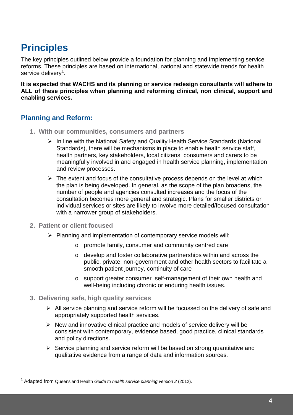## **Principles**

The key principles outlined below provide a foundation for planning and implementing service reforms. These principles are based on international, national and statewide trends for health service delivery<sup>1</sup>.

**It is expected that WACHS and its planning or service redesign consultants will adhere to ALL of these principles when planning and reforming clinical, non clinical, support and enabling services.** 

#### **Planning and Reform:**

- **1. With our communities, consumers and partners** 
	- $\triangleright$  In line with the National Safety and Quality Health Service Standards (National Standards), there will be mechanisms in place to enable health service staff, health partners, key stakeholders, local citizens, consumers and carers to be meaningfully involved in and engaged in health service planning, implementation and review processes.
	- $\triangleright$  The extent and focus of the consultative process depends on the level at which the plan is being developed. In general, as the scope of the plan broadens, the number of people and agencies consulted increases and the focus of the consultation becomes more general and strategic. Plans for smaller districts or individual services or sites are likely to involve more detailed/focused consultation with a narrower group of stakeholders.
- **2. Patient or client focused**

l

- $\triangleright$  Planning and implementation of contemporary service models will:
	- o promote family, consumer and community centred care
	- o develop and foster collaborative partnerships within and across the public, private, non-government and other health sectors to facilitate a smooth patient journey, continuity of care
	- o support greater consumer self-management of their own health and well-being including chronic or enduring health issues.
- **3. Delivering safe, high quality services** 
	- $\triangleright$  All service planning and service reform will be focussed on the delivery of safe and appropriately supported health services.
	- $\triangleright$  New and innovative clinical practice and models of service delivery will be consistent with contemporary, evidence based, good practice, clinical standards and policy directions.
	- $\triangleright$  Service planning and service reform will be based on strong quantitative and qualitative evidence from a range of data and information sources.

 $1$  Adapted from Queensland Health Guide to health service planning version 2 (2012).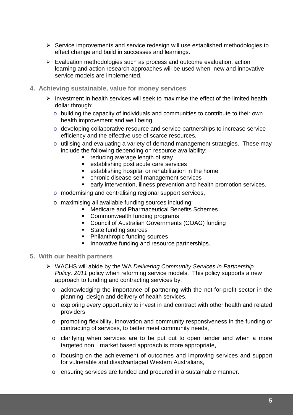- $\triangleright$  Service improvements and service redesign will use established methodologies to effect change and build in successes and learnings.
- $\triangleright$  Evaluation methodologies such as process and outcome evaluation, action learning and action research approaches will be used when new and innovative service models are implemented.
- **4. Achieving sustainable, value for money services** 
	- $\triangleright$  Investment in health services will seek to maximise the effect of the limited health dollar through:
		- o building the capacity of individuals and communities to contribute to their own health improvement and well being,
		- o developing collaborative resource and service partnerships to increase service efficiency and the effective use of scarce resources,
		- o utilising and evaluating a variety of demand management strategies. These may include the following depending on resource availability:
			- **EXEC** reducing average length of stay
			- establishing post acute care services
			- **EXECTE ATTE:** establishing hospital or rehabilitation in the home
			- chronic disease self management services
			- early intervention, illness prevention and health promotion services.
		- o modernising and centralising regional support services,
		- o maximising all available funding sources including:
			- Medicare and Pharmaceutical Benefits Schemes
			- **-** Commonwealth funding programs
			- **Council of Australian Governments (COAG) funding**
			- **State funding sources**
			- **•** Philanthropic funding sources
			- **Innovative funding and resource partnerships.**
- **5. With our health partners** 
	- ▶ WACHS will abide by the WA Delivering Community Services in Partnership Policy, 2011 policy when reforming service models. This policy supports a new approach to funding and contracting services by:
		- o acknowledging the importance of partnering with the not-for-profit sector in the planning, design and delivery of health services,
		- o exploring every opportunity to invest in and contract with other health and related providers,
		- o promoting flexibility, innovation and community responsiveness in the funding or contracting of services, to better meet community needs,
		- o clarifying when services are to be put out to open tender and when a more targeted non‐market based approach is more appropriate,
		- o focusing on the achievement of outcomes and improving services and support for vulnerable and disadvantaged Western Australians,
		- o ensuring services are funded and procured in a sustainable manner.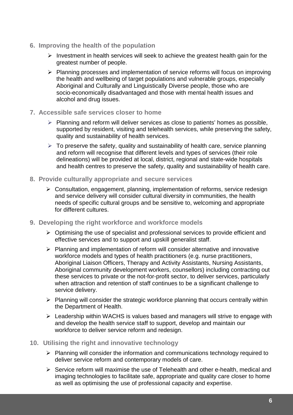- **6. Improving the health of the population** 
	- $\triangleright$  Investment in health services will seek to achieve the greatest health gain for the greatest number of people.
	- $\triangleright$  Planning processes and implementation of service reforms will focus on improving the health and wellbeing of target populations and vulnerable groups, especially Aboriginal and Culturally and Linguistically Diverse people, those who are socio-economically disadvantaged and those with mental health issues and alcohol and drug issues.
- **7. Accessible safe services closer to home** 
	- $\triangleright$  Planning and reform will deliver services as close to patients' homes as possible, supported by resident, visiting and telehealth services, while preserving the safety, quality and sustainability of health services.
	- $\triangleright$  To preserve the safety, quality and sustainability of health care, service planning and reform will recognise that different levels and types of services (their role delineations) will be provided at local, district, regional and state-wide hospitals and health centres to preserve the safety, quality and sustainability of health care.
- **8. Provide culturally appropriate and secure services** 
	- $\triangleright$  Consultation, engagement, planning, implementation of reforms, service redesign and service delivery will consider cultural diversity in communities, the health needs of specific cultural groups and be sensitive to, welcoming and appropriate for different cultures.
- **9. Developing the right workforce and workforce models** 
	- $\triangleright$  Optimising the use of specialist and professional services to provide efficient and effective services and to support and upskill generalist staff.
	- $\triangleright$  Planning and implementation of reform will consider alternative and innovative workforce models and types of health practitioners (e.g. nurse practitioners, Aboriginal Liaison Officers, Therapy and Activity Assistants, Nursing Assistants, Aboriginal community development workers, counsellors) including contracting out these services to private or the not-for-profit sector, to deliver services, particularly when attraction and retention of staff continues to be a significant challenge to service delivery.
	- $\triangleright$  Planning will consider the strategic workforce planning that occurs centrally within the Department of Health.
	- $\triangleright$  Leadership within WACHS is values based and managers will strive to engage with and develop the health service staff to support, develop and maintain our workforce to deliver service reform and redesign.
- **10. Utilising the right and innovative technology** 
	- $\triangleright$  Planning will consider the information and communications technology required to deliver service reform and contemporary models of care.
	- $\triangleright$  Service reform will maximise the use of Telehealth and other e-health, medical and imaging technologies to facilitate safe, appropriate and quality care closer to home as well as optimising the use of professional capacity and expertise.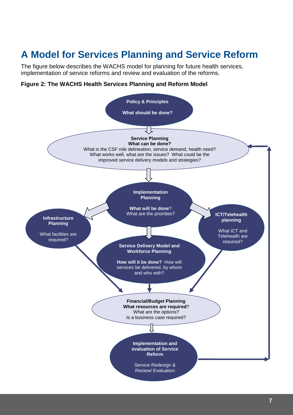# **A Model for Services Planning and Service Reform**

The figure below describes the WACHS model for planning for future health services, implementation of service reforms and review and evaluation of the reforms.

#### **Figure 2: The WACHS Health Services Planning and Reform Model**

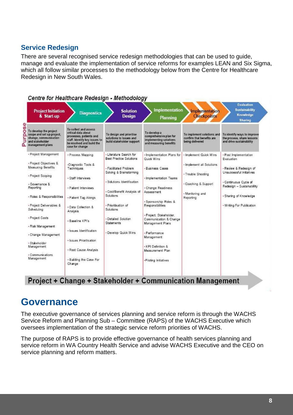#### **Service Redesign**

There are several recognised service redesign methodologies that can be used to guide, manage and evaluate the implementation of service reforms for examples LEAN and Six Sigma, which all follow similar processes to the methodology below from the Centre for Healthcare Redesign in New South Wales.



### **Governance**

The executive governance of services planning and service reform is through the WACHS Service Reform and Planning Sub – Committee (RAPS) of the WACHS Executive which oversees implementation of the strategic service reform priorities of WACHS.

The purpose of RAPS is to provide effective governance of health services planning and service reform in WA Country Health Service and advise WACHS Executive and the CEO on service planning and reform matters.